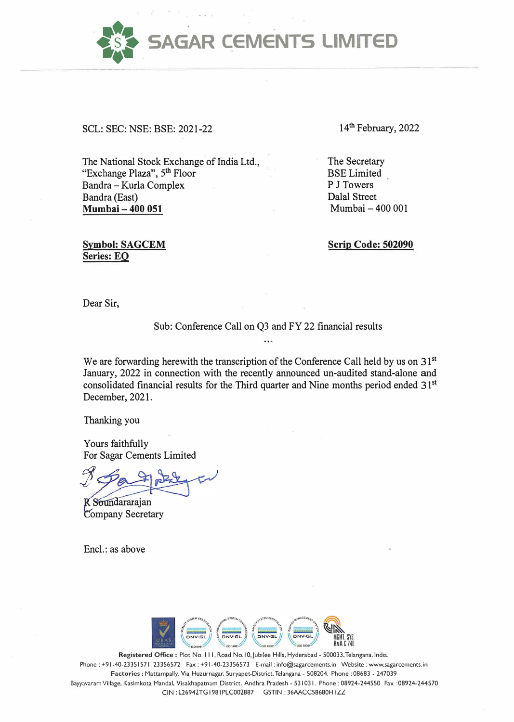**SAGAR CEMENTS LIMITED** 

SCL: SEC: NSE: BSE: 2021-22

The National Stock Exchange of India Ltd., "Exchange Plaza", 5<sup>th</sup> Floor Bandra - Kurla Complex Bandra (East) **Mumbai - 400 051** 

**Symbol: SAGCEM Series: EO** 

14<sup>th</sup> February, 2022

The Secretary BSE Limited P J Towers Dalal Street Mumbai - 400 001

**Scrip Code: 502090** 

Dear Sir,

Sub: Conference Call on Q3 and FY 22 financial results

We are forwarding herewith the transcription of the Conference Call held by us on 31<sup>st</sup> January, 2022 in connection with the recently announced un-audited stand-alone and consolidated financial results for the Third quarter and Nine months period ended 31 **st** December, 2021.

Thanking you

Yours faithfully For Sagar Cements Limited

*t ·* 

R Soundararajan **Company Secretary** 

Encl.: as above



Registered Office: Plot No. 111, Road No. 10, Jubilee Hills, Hyderabad - 500033, Telangana, India. Phone : +91-40-23351571, 23356572 Fax : +91-40-23356573 E-mail : info@sagarcements.in Website : www.sagarcements.in **Factories** : Mattampally, Via Huzurnagar, Suryapet-District, Telangana - 508204. Phone : 08683 - 247039 Bayyavaram Village, Kasimkota Manda!, Visakhapatnam District. Andhra Pradesh - 531031. Phone : 08924-244550 Fax : 08924-244570 CIN : L26942TG 1981PLC002887 GSTIN : 36AACCS8680H I ZZ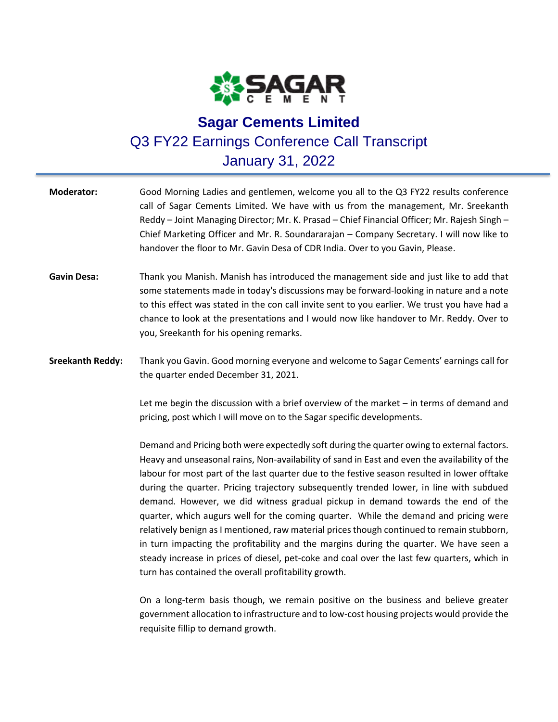

## **Sagar Cements Limited** Q3 FY22 Earnings Conference Call Transcript January 31, 2022

| <b>Moderator:</b>       | Good Morning Ladies and gentlemen, welcome you all to the Q3 FY22 results conference<br>call of Sagar Cements Limited. We have with us from the management, Mr. Sreekanth<br>Reddy - Joint Managing Director; Mr. K. Prasad - Chief Financial Officer; Mr. Rajesh Singh -<br>Chief Marketing Officer and Mr. R. Soundararajan - Company Secretary. I will now like to<br>handover the floor to Mr. Gavin Desa of CDR India. Over to you Gavin, Please.                                                                                                                                                                                                                                                                                                                                                                                                                                                           |
|-------------------------|------------------------------------------------------------------------------------------------------------------------------------------------------------------------------------------------------------------------------------------------------------------------------------------------------------------------------------------------------------------------------------------------------------------------------------------------------------------------------------------------------------------------------------------------------------------------------------------------------------------------------------------------------------------------------------------------------------------------------------------------------------------------------------------------------------------------------------------------------------------------------------------------------------------|
| <b>Gavin Desa:</b>      | Thank you Manish. Manish has introduced the management side and just like to add that<br>some statements made in today's discussions may be forward-looking in nature and a note<br>to this effect was stated in the con call invite sent to you earlier. We trust you have had a<br>chance to look at the presentations and I would now like handover to Mr. Reddy. Over to<br>you, Sreekanth for his opening remarks.                                                                                                                                                                                                                                                                                                                                                                                                                                                                                          |
| <b>Sreekanth Reddy:</b> | Thank you Gavin. Good morning everyone and welcome to Sagar Cements' earnings call for<br>the quarter ended December 31, 2021.                                                                                                                                                                                                                                                                                                                                                                                                                                                                                                                                                                                                                                                                                                                                                                                   |
|                         | Let me begin the discussion with a brief overview of the market $-$ in terms of demand and<br>pricing, post which I will move on to the Sagar specific developments.                                                                                                                                                                                                                                                                                                                                                                                                                                                                                                                                                                                                                                                                                                                                             |
|                         | Demand and Pricing both were expectedly soft during the quarter owing to external factors.<br>Heavy and unseasonal rains, Non-availability of sand in East and even the availability of the<br>labour for most part of the last quarter due to the festive season resulted in lower offtake<br>during the quarter. Pricing trajectory subsequently trended lower, in line with subdued<br>demand. However, we did witness gradual pickup in demand towards the end of the<br>quarter, which augurs well for the coming quarter. While the demand and pricing were<br>relatively benign as I mentioned, raw material prices though continued to remain stubborn,<br>in turn impacting the profitability and the margins during the quarter. We have seen a<br>steady increase in prices of diesel, pet-coke and coal over the last few quarters, which in<br>turn has contained the overall profitability growth. |
|                         | On a long-term basis though, we remain positive on the business and believe greater                                                                                                                                                                                                                                                                                                                                                                                                                                                                                                                                                                                                                                                                                                                                                                                                                              |

government allocation to infrastructure and to low-cost housing projects would provide the requisite fillip to demand growth.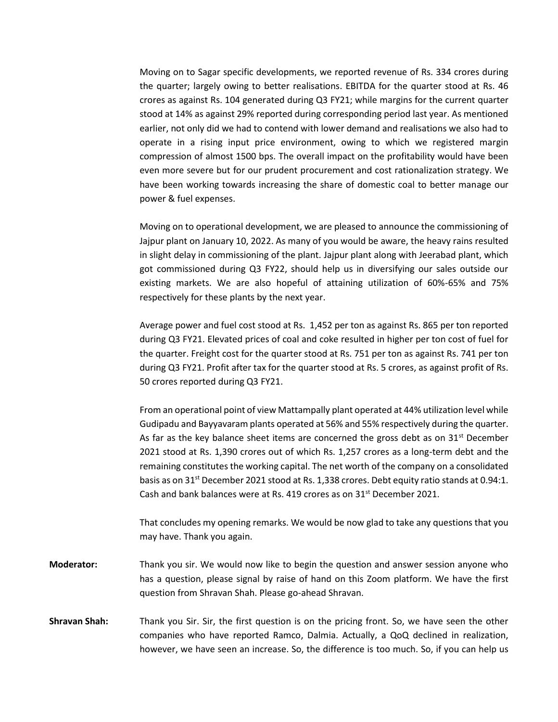Moving on to Sagar specific developments, we reported revenue of Rs. 334 crores during the quarter; largely owing to better realisations. EBITDA for the quarter stood at Rs. 46 crores as against Rs. 104 generated during Q3 FY21; while margins for the current quarter stood at 14% as against 29% reported during corresponding period last year. As mentioned earlier, not only did we had to contend with lower demand and realisations we also had to operate in a rising input price environment, owing to which we registered margin compression of almost 1500 bps. The overall impact on the profitability would have been even more severe but for our prudent procurement and cost rationalization strategy. We have been working towards increasing the share of domestic coal to better manage our power & fuel expenses.

Moving on to operational development, we are pleased to announce the commissioning of Jajpur plant on January 10, 2022. As many of you would be aware, the heavy rains resulted in slight delay in commissioning of the plant. Jajpur plant along with Jeerabad plant, which got commissioned during Q3 FY22, should help us in diversifying our sales outside our existing markets. We are also hopeful of attaining utilization of 60%-65% and 75% respectively for these plants by the next year.

Average power and fuel cost stood at Rs. 1,452 per ton as against Rs. 865 per ton reported during Q3 FY21. Elevated prices of coal and coke resulted in higher per ton cost of fuel for the quarter. Freight cost for the quarter stood at Rs. 751 per ton as against Rs. 741 per ton during Q3 FY21. Profit after tax for the quarter stood at Rs. 5 crores, as against profit of Rs. 50 crores reported during Q3 FY21.

From an operational point of view Mattampally plant operated at 44% utilization level while Gudipadu and Bayyavaram plants operated at 56% and 55% respectively during the quarter. As far as the key balance sheet items are concerned the gross debt as on  $31<sup>st</sup>$  December 2021 stood at Rs. 1,390 crores out of which Rs. 1,257 crores as a long-term debt and the remaining constitutes the working capital. The net worth of the company on a consolidated basis as on 31<sup>st</sup> December 2021 stood at Rs. 1,338 crores. Debt equity ratio stands at 0.94:1. Cash and bank balances were at Rs. 419 crores as on 31<sup>st</sup> December 2021.

That concludes my opening remarks. We would be now glad to take any questions that you may have. Thank you again.

- **Moderator:** Thank you sir. We would now like to begin the question and answer session anyone who has a question, please signal by raise of hand on this Zoom platform. We have the first question from Shravan Shah. Please go-ahead Shravan.
- **Shravan Shah:** Thank you Sir. Sir, the first question is on the pricing front. So, we have seen the other companies who have reported Ramco, Dalmia. Actually, a QoQ declined in realization, however, we have seen an increase. So, the difference is too much. So, if you can help us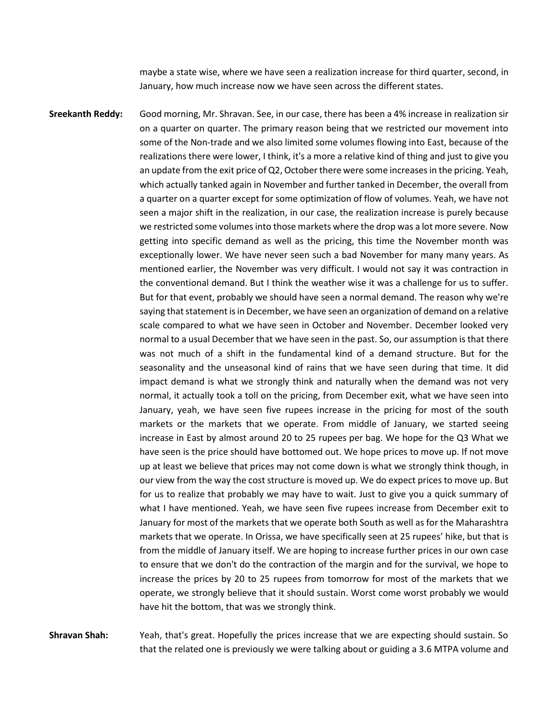maybe a state wise, where we have seen a realization increase for third quarter, second, in January, how much increase now we have seen across the different states.

**Sreekanth Reddy:** Good morning, Mr. Shravan. See, in our case, there has been a 4% increase in realization sir on a quarter on quarter. The primary reason being that we restricted our movement into some of the Non-trade and we also limited some volumes flowing into East, because of the realizations there were lower, I think, it's a more a relative kind of thing and just to give you an update from the exit price of Q2, October there were some increases in the pricing. Yeah, which actually tanked again in November and further tanked in December, the overall from a quarter on a quarter except for some optimization of flow of volumes. Yeah, we have not seen a major shift in the realization, in our case, the realization increase is purely because we restricted some volumes into those markets where the drop was a lot more severe. Now getting into specific demand as well as the pricing, this time the November month was exceptionally lower. We have never seen such a bad November for many many years. As mentioned earlier, the November was very difficult. I would not say it was contraction in the conventional demand. But I think the weather wise it was a challenge for us to suffer. But for that event, probably we should have seen a normal demand. The reason why we're saying that statement is in December, we have seen an organization of demand on a relative scale compared to what we have seen in October and November. December looked very normal to a usual December that we have seen in the past. So, our assumption is that there was not much of a shift in the fundamental kind of a demand structure. But for the seasonality and the unseasonal kind of rains that we have seen during that time. It did impact demand is what we strongly think and naturally when the demand was not very normal, it actually took a toll on the pricing, from December exit, what we have seen into January, yeah, we have seen five rupees increase in the pricing for most of the south markets or the markets that we operate. From middle of January, we started seeing increase in East by almost around 20 to 25 rupees per bag. We hope for the Q3 What we have seen is the price should have bottomed out. We hope prices to move up. If not move up at least we believe that prices may not come down is what we strongly think though, in our view from the way the cost structure is moved up. We do expect prices to move up. But for us to realize that probably we may have to wait. Just to give you a quick summary of what I have mentioned. Yeah, we have seen five rupees increase from December exit to January for most of the markets that we operate both South as well as for the Maharashtra markets that we operate. In Orissa, we have specifically seen at 25 rupees' hike, but that is from the middle of January itself. We are hoping to increase further prices in our own case to ensure that we don't do the contraction of the margin and for the survival, we hope to increase the prices by 20 to 25 rupees from tomorrow for most of the markets that we operate, we strongly believe that it should sustain. Worst come worst probably we would have hit the bottom, that was we strongly think.

**Shravan Shah:** Yeah, that's great. Hopefully the prices increase that we are expecting should sustain. So that the related one is previously we were talking about or guiding a 3.6 MTPA volume and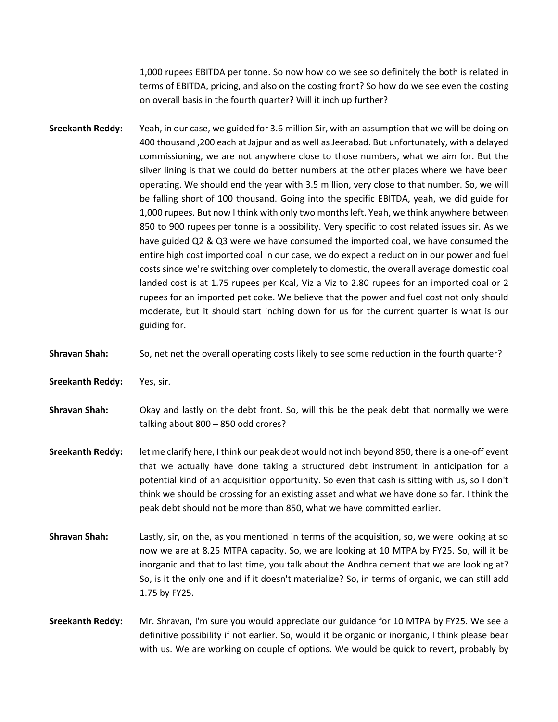1,000 rupees EBITDA per tonne. So now how do we see so definitely the both is related in terms of EBITDA, pricing, and also on the costing front? So how do we see even the costing on overall basis in the fourth quarter? Will it inch up further?

- **Sreekanth Reddy:** Yeah, in our case, we guided for 3.6 million Sir, with an assumption that we will be doing on 400 thousand ,200 each at Jajpur and as well as Jeerabad. But unfortunately, with a delayed commissioning, we are not anywhere close to those numbers, what we aim for. But the silver lining is that we could do better numbers at the other places where we have been operating. We should end the year with 3.5 million, very close to that number. So, we will be falling short of 100 thousand. Going into the specific EBITDA, yeah, we did guide for 1,000 rupees. But now I think with only two months left. Yeah, we think anywhere between 850 to 900 rupees per tonne is a possibility. Very specific to cost related issues sir. As we have guided Q2 & Q3 were we have consumed the imported coal, we have consumed the entire high cost imported coal in our case, we do expect a reduction in our power and fuel costs since we're switching over completely to domestic, the overall average domestic coal landed cost is at 1.75 rupees per Kcal, Viz a Viz to 2.80 rupees for an imported coal or 2 rupees for an imported pet coke. We believe that the power and fuel cost not only should moderate, but it should start inching down for us for the current quarter is what is our guiding for.
- **Shravan Shah:** So, net net the overall operating costs likely to see some reduction in the fourth quarter?
- **Sreekanth Reddy:** Yes, sir.
- **Shravan Shah:** Okay and lastly on the debt front. So, will this be the peak debt that normally we were talking about 800 – 850 odd crores?
- **Sreekanth Reddy:** let me clarify here, I think our peak debt would not inch beyond 850, there is a one-off event that we actually have done taking a structured debt instrument in anticipation for a potential kind of an acquisition opportunity. So even that cash is sitting with us, so I don't think we should be crossing for an existing asset and what we have done so far. I think the peak debt should not be more than 850, what we have committed earlier.
- **Shravan Shah:** Lastly, sir, on the, as you mentioned in terms of the acquisition, so, we were looking at so now we are at 8.25 MTPA capacity. So, we are looking at 10 MTPA by FY25. So, will it be inorganic and that to last time, you talk about the Andhra cement that we are looking at? So, is it the only one and if it doesn't materialize? So, in terms of organic, we can still add 1.75 by FY25.
- **Sreekanth Reddy:** Mr. Shravan, I'm sure you would appreciate our guidance for 10 MTPA by FY25. We see a definitive possibility if not earlier. So, would it be organic or inorganic, I think please bear with us. We are working on couple of options. We would be quick to revert, probably by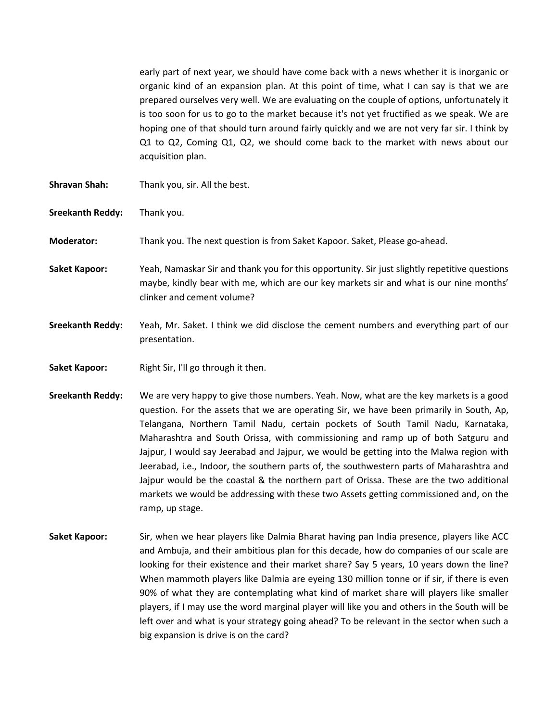early part of next year, we should have come back with a news whether it is inorganic or organic kind of an expansion plan. At this point of time, what I can say is that we are prepared ourselves very well. We are evaluating on the couple of options, unfortunately it is too soon for us to go to the market because it's not yet fructified as we speak. We are hoping one of that should turn around fairly quickly and we are not very far sir. I think by Q1 to Q2, Coming Q1, Q2, we should come back to the market with news about our acquisition plan.

- **Shravan Shah:** Thank you, sir. All the best.
- **Sreekanth Reddy:** Thank you.
- **Moderator:** Thank you. The next question is from Saket Kapoor. Saket, Please go-ahead.
- **Saket Kapoor:** Yeah, Namaskar Sir and thank you for this opportunity. Sir just slightly repetitive questions maybe, kindly bear with me, which are our key markets sir and what is our nine months' clinker and cement volume?
- **Sreekanth Reddy:** Yeah, Mr. Saket. I think we did disclose the cement numbers and everything part of our presentation.
- **Saket Kapoor:** Right Sir, I'll go through it then.
- **Sreekanth Reddy:** We are very happy to give those numbers. Yeah. Now, what are the key markets is a good question. For the assets that we are operating Sir, we have been primarily in South, Ap, Telangana, Northern Tamil Nadu, certain pockets of South Tamil Nadu, Karnataka, Maharashtra and South Orissa, with commissioning and ramp up of both Satguru and Jajpur, I would say Jeerabad and Jajpur, we would be getting into the Malwa region with Jeerabad, i.e., Indoor, the southern parts of, the southwestern parts of Maharashtra and Jajpur would be the coastal & the northern part of Orissa. These are the two additional markets we would be addressing with these two Assets getting commissioned and, on the ramp, up stage.
- **Saket Kapoor:** Sir, when we hear players like Dalmia Bharat having pan India presence, players like ACC and Ambuja, and their ambitious plan for this decade, how do companies of our scale are looking for their existence and their market share? Say 5 years, 10 years down the line? When mammoth players like Dalmia are eyeing 130 million tonne or if sir, if there is even 90% of what they are contemplating what kind of market share will players like smaller players, if I may use the word marginal player will like you and others in the South will be left over and what is your strategy going ahead? To be relevant in the sector when such a big expansion is drive is on the card?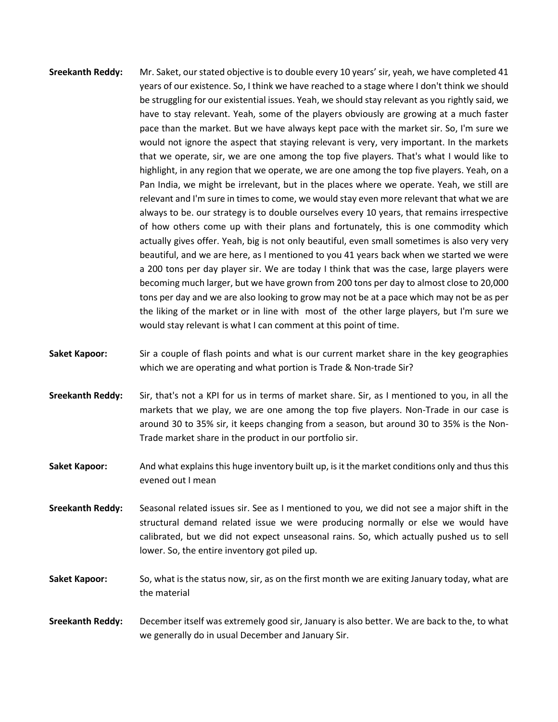- **Sreekanth Reddy:** Mr. Saket, our stated objective is to double every 10 years' sir, yeah, we have completed 41 years of our existence. So, I think we have reached to a stage where I don't think we should be struggling for our existential issues. Yeah, we should stay relevant as you rightly said, we have to stay relevant. Yeah, some of the players obviously are growing at a much faster pace than the market. But we have always kept pace with the market sir. So, I'm sure we would not ignore the aspect that staying relevant is very, very important. In the markets that we operate, sir, we are one among the top five players. That's what I would like to highlight, in any region that we operate, we are one among the top five players. Yeah, on a Pan India, we might be irrelevant, but in the places where we operate. Yeah, we still are relevant and I'm sure in times to come, we would stay even more relevant that what we are always to be. our strategy is to double ourselves every 10 years, that remains irrespective of how others come up with their plans and fortunately, this is one commodity which actually gives offer. Yeah, big is not only beautiful, even small sometimes is also very very beautiful, and we are here, as I mentioned to you 41 years back when we started we were a 200 tons per day player sir. We are today I think that was the case, large players were becoming much larger, but we have grown from 200 tons per day to almost close to 20,000 tons per day and we are also looking to grow may not be at a pace which may not be as per the liking of the market or in line with most of the other large players, but I'm sure we would stay relevant is what I can comment at this point of time.
- **Saket Kapoor:** Sir a couple of flash points and what is our current market share in the key geographies which we are operating and what portion is Trade & Non-trade Sir?
- **Sreekanth Reddy:** Sir, that's not a KPI for us in terms of market share. Sir, as I mentioned to you, in all the markets that we play, we are one among the top five players. Non-Trade in our case is around 30 to 35% sir, it keeps changing from a season, but around 30 to 35% is the Non-Trade market share in the product in our portfolio sir.
- **Saket Kapoor:** And what explains this huge inventory built up, is it the market conditions only and thus this evened out I mean
- **Sreekanth Reddy:** Seasonal related issues sir. See as I mentioned to you, we did not see a major shift in the structural demand related issue we were producing normally or else we would have calibrated, but we did not expect unseasonal rains. So, which actually pushed us to sell lower. So, the entire inventory got piled up.
- **Saket Kapoor:** So, what is the status now, sir, as on the first month we are exiting January today, what are the material
- **Sreekanth Reddy:** December itself was extremely good sir, January is also better. We are back to the, to what we generally do in usual December and January Sir.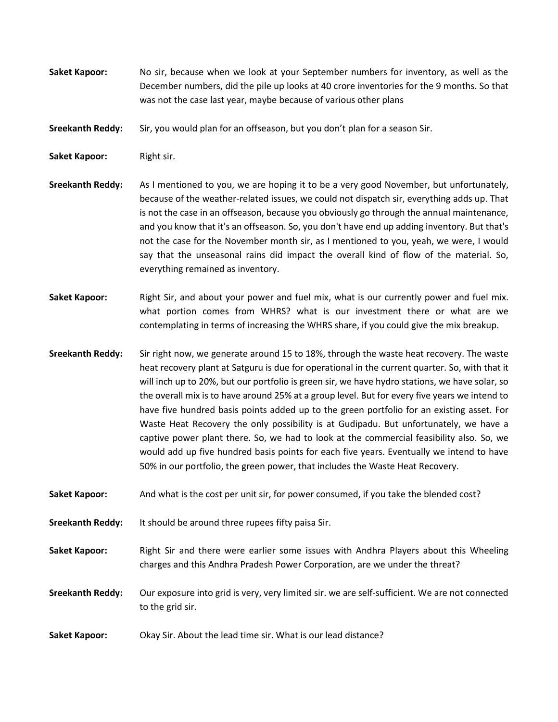- **Saket Kapoor:** No sir, because when we look at your September numbers for inventory, as well as the December numbers, did the pile up looks at 40 crore inventories for the 9 months. So that was not the case last year, maybe because of various other plans
- **Sreekanth Reddy:** Sir, you would plan for an offseason, but you don't plan for a season Sir.
- **Saket Kapoor: Right sir.**
- **Sreekanth Reddy:** As I mentioned to you, we are hoping it to be a very good November, but unfortunately, because of the weather-related issues, we could not dispatch sir, everything adds up. That is not the case in an offseason, because you obviously go through the annual maintenance, and you know that it's an offseason. So, you don't have end up adding inventory. But that's not the case for the November month sir, as I mentioned to you, yeah, we were, I would say that the unseasonal rains did impact the overall kind of flow of the material. So, everything remained as inventory.
- **Saket Kapoor:** Right Sir, and about your power and fuel mix, what is our currently power and fuel mix. what portion comes from WHRS? what is our investment there or what are we contemplating in terms of increasing the WHRS share, if you could give the mix breakup.
- **Sreekanth Reddy:** Sir right now, we generate around 15 to 18%, through the waste heat recovery. The waste heat recovery plant at Satguru is due for operational in the current quarter. So, with that it will inch up to 20%, but our portfolio is green sir, we have hydro stations, we have solar, so the overall mix is to have around 25% at a group level. But for every five years we intend to have five hundred basis points added up to the green portfolio for an existing asset. For Waste Heat Recovery the only possibility is at Gudipadu. But unfortunately, we have a captive power plant there. So, we had to look at the commercial feasibility also. So, we would add up five hundred basis points for each five years. Eventually we intend to have 50% in our portfolio, the green power, that includes the Waste Heat Recovery.
- **Saket Kapoor:** And what is the cost per unit sir, for power consumed, if you take the blended cost?
- **Sreekanth Reddy:** It should be around three rupees fifty paisa Sir.
- **Saket Kapoor:** Right Sir and there were earlier some issues with Andhra Players about this Wheeling charges and this Andhra Pradesh Power Corporation, are we under the threat?
- **Sreekanth Reddy:** Our exposure into grid is very, very limited sir. we are self-sufficient. We are not connected to the grid sir.
- **Saket Kapoor:** Okay Sir. About the lead time sir. What is our lead distance?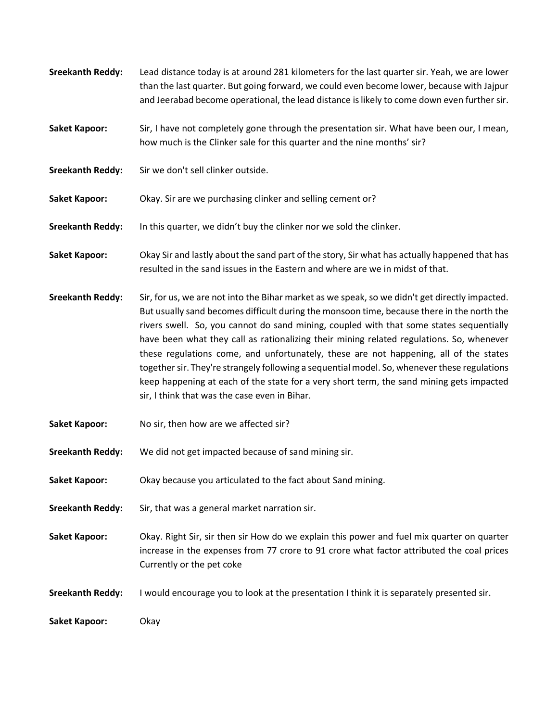- **Sreekanth Reddy:** Lead distance today is at around 281 kilometers for the last quarter sir. Yeah, we are lower than the last quarter. But going forward, we could even become lower, because with Jajpur and Jeerabad become operational, the lead distance is likely to come down even further sir.
- Saket Kapoor: Sir, I have not completely gone through the presentation sir. What have been our, I mean, how much is the Clinker sale for this quarter and the nine months' sir?
- Sreekanth Reddy: Sir we don't sell clinker outside.
- **Saket Kapoor:** Okay. Sir are we purchasing clinker and selling cement or?
- **Sreekanth Reddy:** In this quarter, we didn't buy the clinker nor we sold the clinker.
- **Saket Kapoor:** Okay Sir and lastly about the sand part of the story, Sir what has actually happened that has resulted in the sand issues in the Eastern and where are we in midst of that.
- **Sreekanth Reddy:** Sir, for us, we are not into the Bihar market as we speak, so we didn't get directly impacted. But usually sand becomes difficult during the monsoon time, because there in the north the rivers swell. So, you cannot do sand mining, coupled with that some states sequentially have been what they call as rationalizing their mining related regulations. So, whenever these regulations come, and unfortunately, these are not happening, all of the states together sir. They're strangely following a sequential model. So, whenever these regulations keep happening at each of the state for a very short term, the sand mining gets impacted sir, I think that was the case even in Bihar.
- **Saket Kapoor:** No sir, then how are we affected sir?
- **Sreekanth Reddy:** We did not get impacted because of sand mining sir.
- **Saket Kapoor:** Okay because you articulated to the fact about Sand mining.
- **Sreekanth Reddy:** Sir, that was a general market narration sir.
- **Saket Kapoor:** Okay. Right Sir, sir then sir How do we explain this power and fuel mix quarter on quarter increase in the expenses from 77 crore to 91 crore what factor attributed the coal prices Currently or the pet coke
- **Sreekanth Reddy:** I would encourage you to look at the presentation I think it is separately presented sir.

Saket Kapoor: Okay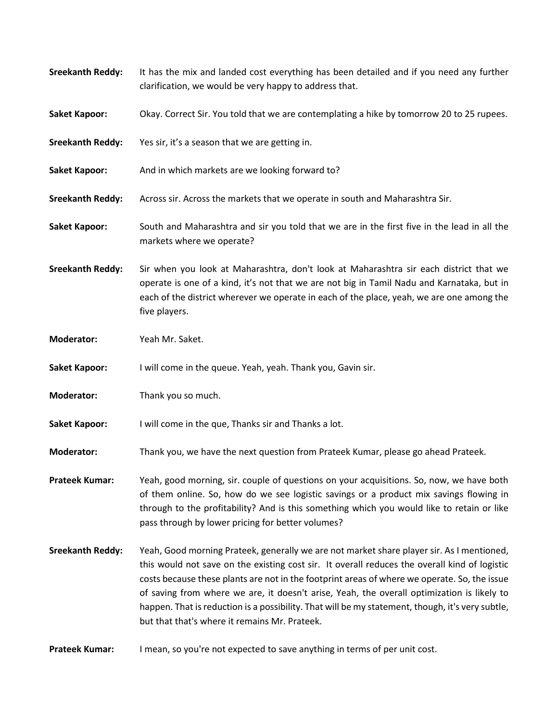| <b>Sreekanth Reddy:</b> | It has the mix and landed cost everything has been detailed and if you need any further<br>clarification, we would be very happy to address that.                                                                                                                                                                                                                                                                                                                                                                                             |
|-------------------------|-----------------------------------------------------------------------------------------------------------------------------------------------------------------------------------------------------------------------------------------------------------------------------------------------------------------------------------------------------------------------------------------------------------------------------------------------------------------------------------------------------------------------------------------------|
| <b>Saket Kapoor:</b>    | Okay. Correct Sir. You told that we are contemplating a hike by tomorrow 20 to 25 rupees.                                                                                                                                                                                                                                                                                                                                                                                                                                                     |
| <b>Sreekanth Reddy:</b> | Yes sir, it's a season that we are getting in.                                                                                                                                                                                                                                                                                                                                                                                                                                                                                                |
| <b>Saket Kapoor:</b>    | And in which markets are we looking forward to?                                                                                                                                                                                                                                                                                                                                                                                                                                                                                               |
| <b>Sreekanth Reddy:</b> | Across sir. Across the markets that we operate in south and Maharashtra Sir.                                                                                                                                                                                                                                                                                                                                                                                                                                                                  |
| <b>Saket Kapoor:</b>    | South and Maharashtra and sir you told that we are in the first five in the lead in all the<br>markets where we operate?                                                                                                                                                                                                                                                                                                                                                                                                                      |
| <b>Sreekanth Reddy:</b> | Sir when you look at Maharashtra, don't look at Maharashtra sir each district that we<br>operate is one of a kind, it's not that we are not big in Tamil Nadu and Karnataka, but in<br>each of the district wherever we operate in each of the place, yeah, we are one among the<br>five players.                                                                                                                                                                                                                                             |
| <b>Moderator:</b>       | Yeah Mr. Saket.                                                                                                                                                                                                                                                                                                                                                                                                                                                                                                                               |
| <b>Saket Kapoor:</b>    | I will come in the queue. Yeah, yeah. Thank you, Gavin sir.                                                                                                                                                                                                                                                                                                                                                                                                                                                                                   |
| <b>Moderator:</b>       | Thank you so much.                                                                                                                                                                                                                                                                                                                                                                                                                                                                                                                            |
| <b>Saket Kapoor:</b>    | I will come in the que, Thanks sir and Thanks a lot.                                                                                                                                                                                                                                                                                                                                                                                                                                                                                          |
| <b>Moderator:</b>       | Thank you, we have the next question from Prateek Kumar, please go ahead Prateek.                                                                                                                                                                                                                                                                                                                                                                                                                                                             |
| <b>Prateek Kumar:</b>   | Yeah, good morning, sir. couple of questions on your acquisitions. So, now, we have both<br>of them online. So, how do we see logistic savings or a product mix savings flowing in<br>through to the profitability? And is this something which you would like to retain or like<br>pass through by lower pricing for better volumes?                                                                                                                                                                                                         |
| <b>Sreekanth Reddy:</b> | Yeah, Good morning Prateek, generally we are not market share player sir. As I mentioned,<br>this would not save on the existing cost sir. It overall reduces the overall kind of logistic<br>costs because these plants are not in the footprint areas of where we operate. So, the issue<br>of saving from where we are, it doesn't arise, Yeah, the overall optimization is likely to<br>happen. That is reduction is a possibility. That will be my statement, though, it's very subtle,<br>but that that's where it remains Mr. Prateek. |
| <b>Prateek Kumar:</b>   | I mean, so you're not expected to save anything in terms of per unit cost.                                                                                                                                                                                                                                                                                                                                                                                                                                                                    |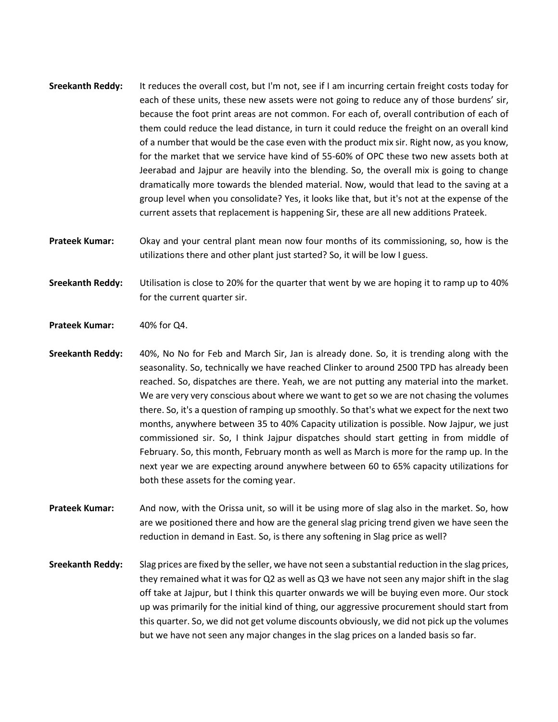- **Sreekanth Reddy:** It reduces the overall cost, but I'm not, see if I am incurring certain freight costs today for each of these units, these new assets were not going to reduce any of those burdens' sir, because the foot print areas are not common. For each of, overall contribution of each of them could reduce the lead distance, in turn it could reduce the freight on an overall kind of a number that would be the case even with the product mix sir. Right now, as you know, for the market that we service have kind of 55-60% of OPC these two new assets both at Jeerabad and Jajpur are heavily into the blending. So, the overall mix is going to change dramatically more towards the blended material. Now, would that lead to the saving at a group level when you consolidate? Yes, it looks like that, but it's not at the expense of the current assets that replacement is happening Sir, these are all new additions Prateek.
- **Prateek Kumar:** Okay and your central plant mean now four months of its commissioning, so, how is the utilizations there and other plant just started? So, it will be low I guess.
- **Sreekanth Reddy:** Utilisation is close to 20% for the quarter that went by we are hoping it to ramp up to 40% for the current quarter sir.
- **Prateek Kumar:** 40% for Q4.
- **Sreekanth Reddy:** 40%, No No for Feb and March Sir, Jan is already done. So, it is trending along with the seasonality. So, technically we have reached Clinker to around 2500 TPD has already been reached. So, dispatches are there. Yeah, we are not putting any material into the market. We are very very conscious about where we want to get so we are not chasing the volumes there. So, it's a question of ramping up smoothly. So that's what we expect for the next two months, anywhere between 35 to 40% Capacity utilization is possible. Now Jajpur, we just commissioned sir. So, I think Jajpur dispatches should start getting in from middle of February. So, this month, February month as well as March is more for the ramp up. In the next year we are expecting around anywhere between 60 to 65% capacity utilizations for both these assets for the coming year.

**Prateek Kumar:** And now, with the Orissa unit, so will it be using more of slag also in the market. So, how are we positioned there and how are the general slag pricing trend given we have seen the reduction in demand in East. So, is there any softening in Slag price as well?

**Sreekanth Reddy:** Slag prices are fixed by the seller, we have not seen a substantial reduction in the slag prices, they remained what it was for Q2 as well as Q3 we have not seen any major shift in the slag off take at Jajpur, but I think this quarter onwards we will be buying even more. Our stock up was primarily for the initial kind of thing, our aggressive procurement should start from this quarter. So, we did not get volume discounts obviously, we did not pick up the volumes but we have not seen any major changes in the slag prices on a landed basis so far.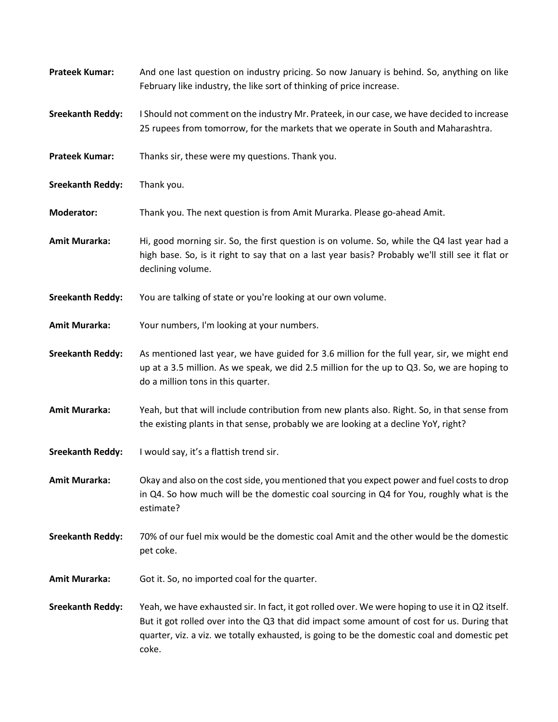| <b>Prateek Kumar:</b>   | And one last question on industry pricing. So now January is behind. So, anything on like<br>February like industry, the like sort of thinking of price increase.                                                                                                                                       |
|-------------------------|---------------------------------------------------------------------------------------------------------------------------------------------------------------------------------------------------------------------------------------------------------------------------------------------------------|
| <b>Sreekanth Reddy:</b> | I Should not comment on the industry Mr. Prateek, in our case, we have decided to increase<br>25 rupees from tomorrow, for the markets that we operate in South and Maharashtra.                                                                                                                        |
| <b>Prateek Kumar:</b>   | Thanks sir, these were my questions. Thank you.                                                                                                                                                                                                                                                         |
| <b>Sreekanth Reddy:</b> | Thank you.                                                                                                                                                                                                                                                                                              |
| <b>Moderator:</b>       | Thank you. The next question is from Amit Murarka. Please go-ahead Amit.                                                                                                                                                                                                                                |
| <b>Amit Murarka:</b>    | Hi, good morning sir. So, the first question is on volume. So, while the Q4 last year had a<br>high base. So, is it right to say that on a last year basis? Probably we'll still see it flat or<br>declining volume.                                                                                    |
| <b>Sreekanth Reddy:</b> | You are talking of state or you're looking at our own volume.                                                                                                                                                                                                                                           |
| <b>Amit Murarka:</b>    | Your numbers, I'm looking at your numbers.                                                                                                                                                                                                                                                              |
| <b>Sreekanth Reddy:</b> | As mentioned last year, we have guided for 3.6 million for the full year, sir, we might end<br>up at a 3.5 million. As we speak, we did 2.5 million for the up to Q3. So, we are hoping to<br>do a million tons in this quarter.                                                                        |
| <b>Amit Murarka:</b>    | Yeah, but that will include contribution from new plants also. Right. So, in that sense from<br>the existing plants in that sense, probably we are looking at a decline YoY, right?                                                                                                                     |
| <b>Sreekanth Reddy:</b> | I would say, it's a flattish trend sir.                                                                                                                                                                                                                                                                 |
| <b>Amit Murarka:</b>    | Okay and also on the cost side, you mentioned that you expect power and fuel costs to drop<br>in Q4. So how much will be the domestic coal sourcing in Q4 for You, roughly what is the<br>estimate?                                                                                                     |
| <b>Sreekanth Reddy:</b> | 70% of our fuel mix would be the domestic coal Amit and the other would be the domestic<br>pet coke.                                                                                                                                                                                                    |
| <b>Amit Murarka:</b>    | Got it. So, no imported coal for the quarter.                                                                                                                                                                                                                                                           |
| <b>Sreekanth Reddy:</b> | Yeah, we have exhausted sir. In fact, it got rolled over. We were hoping to use it in Q2 itself.<br>But it got rolled over into the Q3 that did impact some amount of cost for us. During that<br>quarter, viz. a viz. we totally exhausted, is going to be the domestic coal and domestic pet<br>coke. |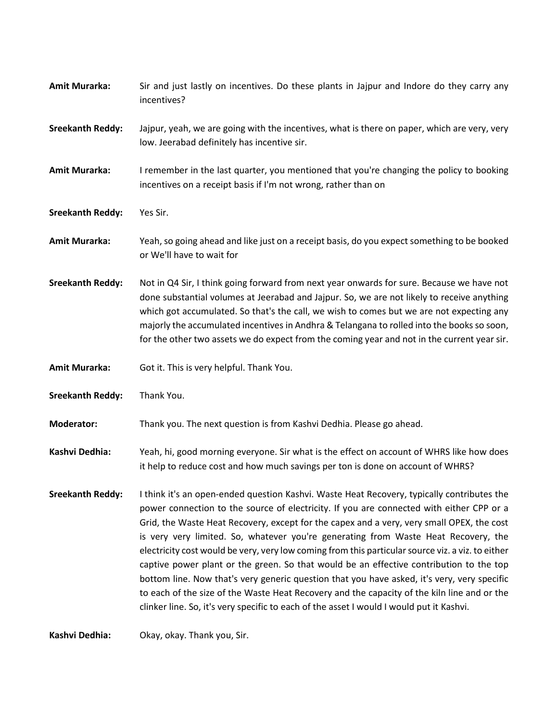| <b>Amit Murarka:</b>    | Sir and just lastly on incentives. Do these plants in Jajpur and Indore do they carry any<br>incentives?                                                                                                                                                                                                                                                                                                                                                                                                                                                                                                                                                                                                                                                                                                                                                            |
|-------------------------|---------------------------------------------------------------------------------------------------------------------------------------------------------------------------------------------------------------------------------------------------------------------------------------------------------------------------------------------------------------------------------------------------------------------------------------------------------------------------------------------------------------------------------------------------------------------------------------------------------------------------------------------------------------------------------------------------------------------------------------------------------------------------------------------------------------------------------------------------------------------|
| <b>Sreekanth Reddy:</b> | Jajpur, yeah, we are going with the incentives, what is there on paper, which are very, very<br>low. Jeerabad definitely has incentive sir.                                                                                                                                                                                                                                                                                                                                                                                                                                                                                                                                                                                                                                                                                                                         |
| <b>Amit Murarka:</b>    | I remember in the last quarter, you mentioned that you're changing the policy to booking<br>incentives on a receipt basis if I'm not wrong, rather than on                                                                                                                                                                                                                                                                                                                                                                                                                                                                                                                                                                                                                                                                                                          |
| <b>Sreekanth Reddy:</b> | Yes Sir.                                                                                                                                                                                                                                                                                                                                                                                                                                                                                                                                                                                                                                                                                                                                                                                                                                                            |
| Amit Murarka:           | Yeah, so going ahead and like just on a receipt basis, do you expect something to be booked<br>or We'll have to wait for                                                                                                                                                                                                                                                                                                                                                                                                                                                                                                                                                                                                                                                                                                                                            |
| <b>Sreekanth Reddy:</b> | Not in Q4 Sir, I think going forward from next year onwards for sure. Because we have not<br>done substantial volumes at Jeerabad and Jajpur. So, we are not likely to receive anything<br>which got accumulated. So that's the call, we wish to comes but we are not expecting any<br>majorly the accumulated incentives in Andhra & Telangana to rolled into the books so soon,<br>for the other two assets we do expect from the coming year and not in the current year sir.                                                                                                                                                                                                                                                                                                                                                                                    |
| <b>Amit Murarka:</b>    | Got it. This is very helpful. Thank You.                                                                                                                                                                                                                                                                                                                                                                                                                                                                                                                                                                                                                                                                                                                                                                                                                            |
| <b>Sreekanth Reddy:</b> | Thank You.                                                                                                                                                                                                                                                                                                                                                                                                                                                                                                                                                                                                                                                                                                                                                                                                                                                          |
| <b>Moderator:</b>       | Thank you. The next question is from Kashvi Dedhia. Please go ahead.                                                                                                                                                                                                                                                                                                                                                                                                                                                                                                                                                                                                                                                                                                                                                                                                |
| Kashvi Dedhia:          | Yeah, hi, good morning everyone. Sir what is the effect on account of WHRS like how does<br>it help to reduce cost and how much savings per ton is done on account of WHRS?                                                                                                                                                                                                                                                                                                                                                                                                                                                                                                                                                                                                                                                                                         |
| <b>Sreekanth Reddy:</b> | I think it's an open-ended question Kashvi. Waste Heat Recovery, typically contributes the<br>power connection to the source of electricity. If you are connected with either CPP or a<br>Grid, the Waste Heat Recovery, except for the capex and a very, very small OPEX, the cost<br>is very very limited. So, whatever you're generating from Waste Heat Recovery, the<br>electricity cost would be very, very low coming from this particular source viz. a viz. to either<br>captive power plant or the green. So that would be an effective contribution to the top<br>bottom line. Now that's very generic question that you have asked, it's very, very specific<br>to each of the size of the Waste Heat Recovery and the capacity of the kiln line and or the<br>clinker line. So, it's very specific to each of the asset I would I would put it Kashvi. |
| Kashvi Dedhia:          | Okay, okay. Thank you, Sir.                                                                                                                                                                                                                                                                                                                                                                                                                                                                                                                                                                                                                                                                                                                                                                                                                                         |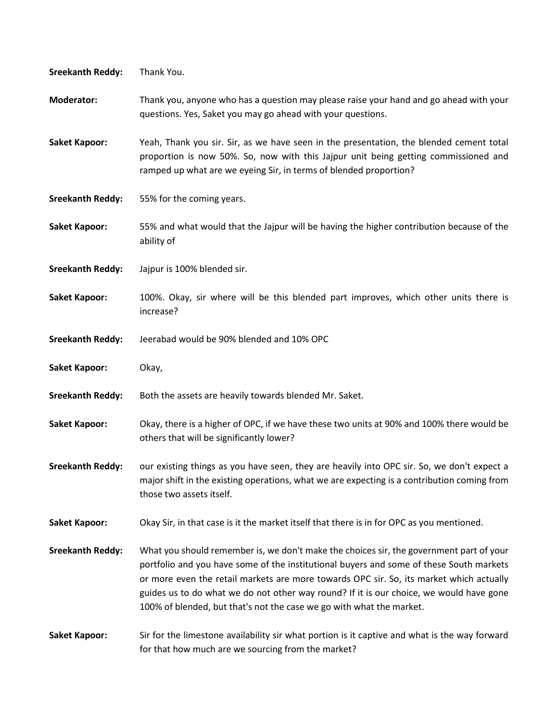| <b>Sreekanth Reddy:</b> | Thank You.                                                                                                                                                                                                                                                                                                                                                                                                                                       |
|-------------------------|--------------------------------------------------------------------------------------------------------------------------------------------------------------------------------------------------------------------------------------------------------------------------------------------------------------------------------------------------------------------------------------------------------------------------------------------------|
| <b>Moderator:</b>       | Thank you, anyone who has a question may please raise your hand and go ahead with your<br>questions. Yes, Saket you may go ahead with your questions.                                                                                                                                                                                                                                                                                            |
| <b>Saket Kapoor:</b>    | Yeah, Thank you sir. Sir, as we have seen in the presentation, the blended cement total<br>proportion is now 50%. So, now with this Jajpur unit being getting commissioned and<br>ramped up what are we eyeing Sir, in terms of blended proportion?                                                                                                                                                                                              |
| <b>Sreekanth Reddy:</b> | 55% for the coming years.                                                                                                                                                                                                                                                                                                                                                                                                                        |
| <b>Saket Kapoor:</b>    | 55% and what would that the Jajpur will be having the higher contribution because of the<br>ability of                                                                                                                                                                                                                                                                                                                                           |
| <b>Sreekanth Reddy:</b> | Jajpur is 100% blended sir.                                                                                                                                                                                                                                                                                                                                                                                                                      |
| <b>Saket Kapoor:</b>    | 100%. Okay, sir where will be this blended part improves, which other units there is<br>increase?                                                                                                                                                                                                                                                                                                                                                |
| <b>Sreekanth Reddy:</b> | Jeerabad would be 90% blended and 10% OPC                                                                                                                                                                                                                                                                                                                                                                                                        |
| <b>Saket Kapoor:</b>    | Okay,                                                                                                                                                                                                                                                                                                                                                                                                                                            |
| <b>Sreekanth Reddy:</b> | Both the assets are heavily towards blended Mr. Saket.                                                                                                                                                                                                                                                                                                                                                                                           |
|                         |                                                                                                                                                                                                                                                                                                                                                                                                                                                  |
| <b>Saket Kapoor:</b>    | Okay, there is a higher of OPC, if we have these two units at 90% and 100% there would be<br>others that will be significantly lower?                                                                                                                                                                                                                                                                                                            |
| <b>Sreekanth Reddy:</b> | our existing things as you have seen, they are heavily into OPC sir. So, we don't expect a<br>major shift in the existing operations, what we are expecting is a contribution coming from<br>those two assets itself.                                                                                                                                                                                                                            |
| <b>Saket Kapoor:</b>    | Okay Sir, in that case is it the market itself that there is in for OPC as you mentioned.                                                                                                                                                                                                                                                                                                                                                        |
| <b>Sreekanth Reddy:</b> | What you should remember is, we don't make the choices sir, the government part of your<br>portfolio and you have some of the institutional buyers and some of these South markets<br>or more even the retail markets are more towards OPC sir. So, its market which actually<br>guides us to do what we do not other way round? If it is our choice, we would have gone<br>100% of blended, but that's not the case we go with what the market. |

for that how much are we sourcing from the market?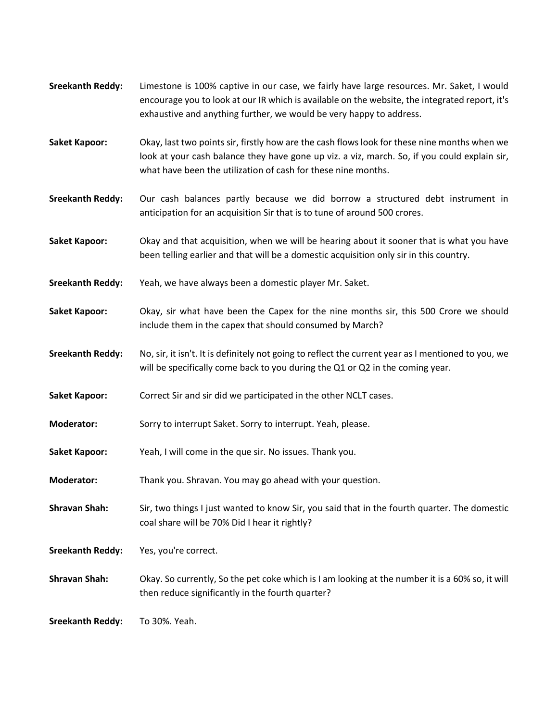- **Sreekanth Reddy:** Limestone is 100% captive in our case, we fairly have large resources. Mr. Saket, I would encourage you to look at our IR which is available on the website, the integrated report, it's exhaustive and anything further, we would be very happy to address.
- **Saket Kapoor:** Okay, last two points sir, firstly how are the cash flows look for these nine months when we look at your cash balance they have gone up viz. a viz, march. So, if you could explain sir, what have been the utilization of cash for these nine months.
- **Sreekanth Reddy:** Our cash balances partly because we did borrow a structured debt instrument in anticipation for an acquisition Sir that is to tune of around 500 crores.
- **Saket Kapoor:** Okay and that acquisition, when we will be hearing about it sooner that is what you have been telling earlier and that will be a domestic acquisition only sir in this country.
- **Sreekanth Reddy:** Yeah, we have always been a domestic player Mr. Saket.
- **Saket Kapoor:** Okay, sir what have been the Capex for the nine months sir, this 500 Crore we should include them in the capex that should consumed by March?
- **Sreekanth Reddy:** No, sir, it isn't. It is definitely not going to reflect the current year as I mentioned to you, we will be specifically come back to you during the Q1 or Q2 in the coming year.
- **Saket Kapoor:** Correct Sir and sir did we participated in the other NCLT cases.
- **Moderator:** Sorry to interrupt Saket. Sorry to interrupt. Yeah, please.
- **Saket Kapoor:** Yeah, I will come in the que sir. No issues. Thank you.
- **Moderator:** Thank you. Shravan. You may go ahead with your question.
- **Shravan Shah:** Sir, two things I just wanted to know Sir, you said that in the fourth quarter. The domestic coal share will be 70% Did I hear it rightly?
- **Sreekanth Reddy:** Yes, you're correct.
- **Shravan Shah:** Okay. So currently, So the pet coke which is I am looking at the number it is a 60% so, it will then reduce significantly in the fourth quarter?

**Sreekanth Reddy:** To 30%. Yeah.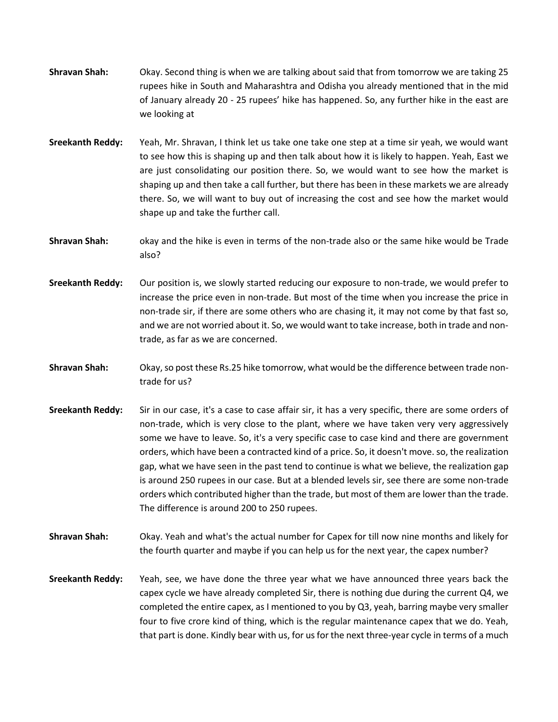- **Shravan Shah:** Okay. Second thing is when we are talking about said that from tomorrow we are taking 25 rupees hike in South and Maharashtra and Odisha you already mentioned that in the mid of January already 20 - 25 rupees' hike has happened. So, any further hike in the east are we looking at
- **Sreekanth Reddy:** Yeah, Mr. Shravan, I think let us take one take one step at a time sir yeah, we would want to see how this is shaping up and then talk about how it is likely to happen. Yeah, East we are just consolidating our position there. So, we would want to see how the market is shaping up and then take a call further, but there has been in these markets we are already there. So, we will want to buy out of increasing the cost and see how the market would shape up and take the further call.
- **Shravan Shah:** okay and the hike is even in terms of the non-trade also or the same hike would be Trade also?
- **Sreekanth Reddy:** Our position is, we slowly started reducing our exposure to non-trade, we would prefer to increase the price even in non-trade. But most of the time when you increase the price in non-trade sir, if there are some others who are chasing it, it may not come by that fast so, and we are not worried about it. So, we would want to take increase, both in trade and nontrade, as far as we are concerned.
- **Shravan Shah:** Okay, so post these Rs.25 hike tomorrow, what would be the difference between trade nontrade for us?
- **Sreekanth Reddy:** Sir in our case, it's a case to case affair sir, it has a very specific, there are some orders of non-trade, which is very close to the plant, where we have taken very very aggressively some we have to leave. So, it's a very specific case to case kind and there are government orders, which have been a contracted kind of a price. So, it doesn't move. so, the realization gap, what we have seen in the past tend to continue is what we believe, the realization gap is around 250 rupees in our case. But at a blended levels sir, see there are some non-trade orders which contributed higher than the trade, but most of them are lower than the trade. The difference is around 200 to 250 rupees.
- **Shravan Shah:** Okay. Yeah and what's the actual number for Capex for till now nine months and likely for the fourth quarter and maybe if you can help us for the next year, the capex number?
- **Sreekanth Reddy:** Yeah, see, we have done the three year what we have announced three years back the capex cycle we have already completed Sir, there is nothing due during the current Q4, we completed the entire capex, as I mentioned to you by Q3, yeah, barring maybe very smaller four to five crore kind of thing, which is the regular maintenance capex that we do. Yeah, that part is done. Kindly bear with us, for us for the next three-year cycle in terms of a much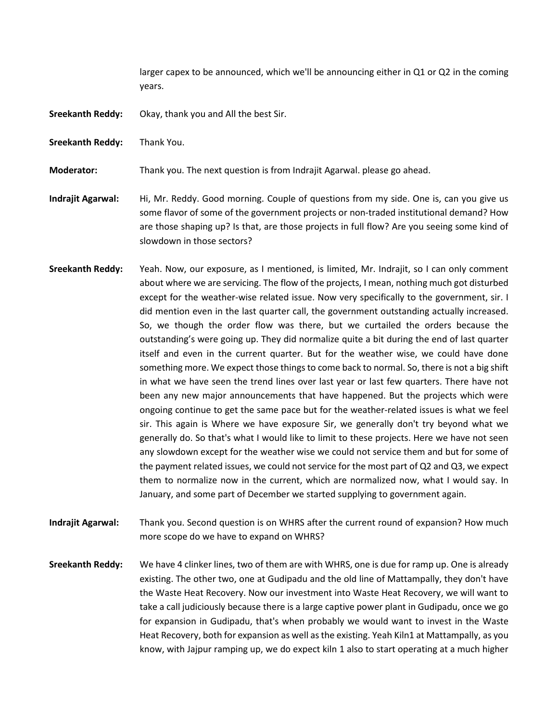larger capex to be announced, which we'll be announcing either in Q1 or Q2 in the coming years.

- **Sreekanth Reddy:** Okay, thank you and All the best Sir.
- **Sreekanth Reddy:** Thank You.

**Moderator:** Thank you. The next question is from Indrajit Agarwal. please go ahead.

**Indrajit Agarwal:** Hi, Mr. Reddy. Good morning. Couple of questions from my side. One is, can you give us some flavor of some of the government projects or non-traded institutional demand? How are those shaping up? Is that, are those projects in full flow? Are you seeing some kind of slowdown in those sectors?

**Sreekanth Reddy:** Yeah. Now, our exposure, as I mentioned, is limited, Mr. Indrajit, so I can only comment about where we are servicing. The flow of the projects, I mean, nothing much got disturbed except for the weather-wise related issue. Now very specifically to the government, sir. I did mention even in the last quarter call, the government outstanding actually increased. So, we though the order flow was there, but we curtailed the orders because the outstanding's were going up. They did normalize quite a bit during the end of last quarter itself and even in the current quarter. But for the weather wise, we could have done something more. We expect those things to come back to normal. So, there is not a big shift in what we have seen the trend lines over last year or last few quarters. There have not been any new major announcements that have happened. But the projects which were ongoing continue to get the same pace but for the weather-related issues is what we feel sir. This again is Where we have exposure Sir, we generally don't try beyond what we generally do. So that's what I would like to limit to these projects. Here we have not seen any slowdown except for the weather wise we could not service them and but for some of the payment related issues, we could not service for the most part of Q2 and Q3, we expect them to normalize now in the current, which are normalized now, what I would say. In January, and some part of December we started supplying to government again.

**Indrajit Agarwal:** Thank you. Second question is on WHRS after the current round of expansion? How much more scope do we have to expand on WHRS?

**Sreekanth Reddy:** We have 4 clinker lines, two of them are with WHRS, one is due for ramp up. One is already existing. The other two, one at Gudipadu and the old line of Mattampally, they don't have the Waste Heat Recovery. Now our investment into Waste Heat Recovery, we will want to take a call judiciously because there is a large captive power plant in Gudipadu, once we go for expansion in Gudipadu, that's when probably we would want to invest in the Waste Heat Recovery, both for expansion as well as the existing. Yeah Kiln1 at Mattampally, as you know, with Jajpur ramping up, we do expect kiln 1 also to start operating at a much higher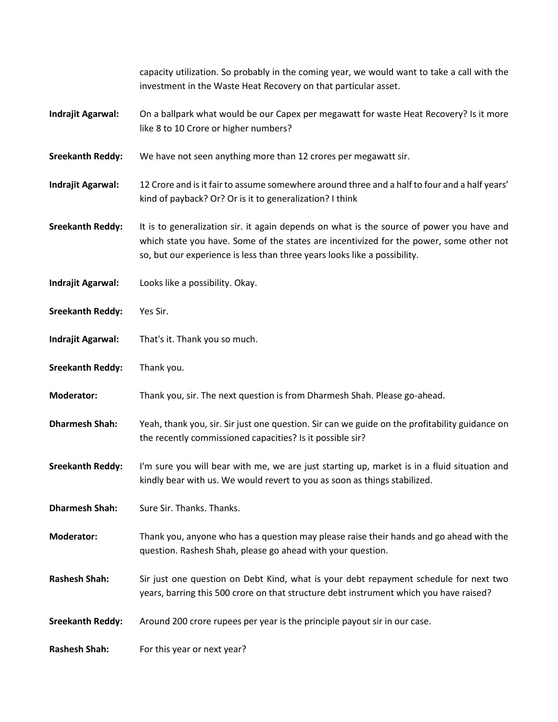capacity utilization. So probably in the coming year, we would want to take a call with the investment in the Waste Heat Recovery on that particular asset.

- **Indrajit Agarwal:** On a ballpark what would be our Capex per megawatt for waste Heat Recovery? Is it more like 8 to 10 Crore or higher numbers?
- **Sreekanth Reddy:** We have not seen anything more than 12 crores per megawatt sir.
- **Indrajit Agarwal:** 12 Crore and is it fair to assume somewhere around three and a half to four and a half years' kind of payback? Or? Or is it to generalization? I think
- **Sreekanth Reddy:** It is to generalization sir. it again depends on what is the source of power you have and which state you have. Some of the states are incentivized for the power, some other not so, but our experience is less than three years looks like a possibility.
- **Indrajit Agarwal:** Looks like a possibility. Okay.
- **Sreekanth Reddy:** Yes Sir.
- **Indrajit Agarwal:** That's it. Thank you so much.
- **Sreekanth Reddy:** Thank you.
- **Moderator:** Thank you, sir. The next question is from Dharmesh Shah. Please go-ahead.
- **Dharmesh Shah:** Yeah, thank you, sir. Sir just one question. Sir can we guide on the profitability guidance on the recently commissioned capacities? Is it possible sir?
- **Sreekanth Reddy:** I'm sure you will bear with me, we are just starting up, market is in a fluid situation and kindly bear with us. We would revert to you as soon as things stabilized.
- **Dharmesh Shah:** Sure Sir. Thanks. Thanks.
- **Moderator:** Thank you, anyone who has a question may please raise their hands and go ahead with the question. Rashesh Shah, please go ahead with your question.
- **Rashesh Shah:** Sir just one question on Debt Kind, what is your debt repayment schedule for next two years, barring this 500 crore on that structure debt instrument which you have raised?
- **Sreekanth Reddy:** Around 200 crore rupees per year is the principle payout sir in our case.

**Rashesh Shah:** For this year or next year?